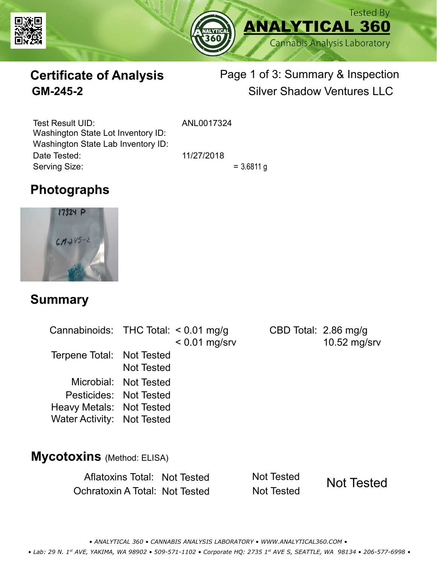



# **Certificate of Analysis**

## Page 1 of 3: Summary & Inspection **GM-245-2** Silver Shadow Ventures LLC

Serving Size:  $= 3.6811 g$ Test Result UID: ANL0017324 Date Tested: 11/27/2018 Washington State Lot Inventory ID: Washington State Lab Inventory ID:

# **Photographs**



#### **Summary**

| Cannabinoids: THC Total: $< 0.01$ mg/g |                       | $< 0.01$ mg/srv | CBD Total: $2.86 \text{ mg/g}$ | 10.52 mg/srv |
|----------------------------------------|-----------------------|-----------------|--------------------------------|--------------|
| Terpene Total: Not Tested              | <b>Not Tested</b>     |                 |                                |              |
|                                        | Microbial: Not Tested |                 |                                |              |
| Pesticides: Not Tested                 |                       |                 |                                |              |
| Heavy Metals: Not Tested               |                       |                 |                                |              |
| Water Activity: Not Tested             |                       |                 |                                |              |
|                                        |                       |                 |                                |              |
| $\overline{AB}$                        |                       |                 |                                |              |

#### **Mycotoxins** (Method: ELISA)

Aflatoxins Total: Not Tested Not Tested Ochratoxin A Total: Not Tested Not Tested

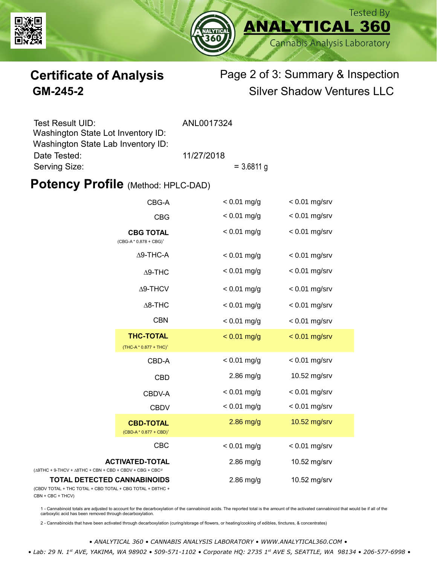



### **Certificate of Analysis** Page 2 of 3: Summary & Inspection **GM-245-2** Silver Shadow Ventures LLC

| Test Result UID:                   | ANL0017324 |              |  |
|------------------------------------|------------|--------------|--|
| Washington State Lot Inventory ID: |            |              |  |
| Washington State Lab Inventory ID: |            |              |  |
| Date Tested:                       | 11/27/2018 |              |  |
| Serving Size:                      |            | $= 3.6811$ g |  |

#### **Potency Profile (Method: HPLC-DAD)**

|                                                                                                   | CBG-A                                                  |               | $< 0.01$ mg/srv |
|---------------------------------------------------------------------------------------------------|--------------------------------------------------------|---------------|-----------------|
|                                                                                                   | <b>CBG</b>                                             | $< 0.01$ mg/g | $< 0.01$ mg/srv |
| <b>CBG TOTAL</b><br>$(CBG-A * 0.878 + CBG)^1$<br>$\Delta$ 9-THC-A<br>$\Delta$ 9-THC               |                                                        | $< 0.01$ mg/g | $< 0.01$ mg/srv |
|                                                                                                   |                                                        | $< 0.01$ mg/g | $< 0.01$ mg/srv |
|                                                                                                   |                                                        | $< 0.01$ mg/g | $< 0.01$ mg/srv |
|                                                                                                   | $\Delta$ 9-THCV                                        | $< 0.01$ mg/g | $< 0.01$ mg/srv |
|                                                                                                   | $\Delta$ 8-THC                                         | $< 0.01$ mg/g | $< 0.01$ mg/srv |
|                                                                                                   | <b>CBN</b>                                             | $< 0.01$ mg/g | $< 0.01$ mg/srv |
|                                                                                                   | <b>THC-TOTAL</b><br>(THC-A * 0.877 + THC) <sup>1</sup> | $< 0.01$ mg/g | $< 0.01$ mg/srv |
|                                                                                                   | CBD-A                                                  | $< 0.01$ mg/g | $< 0.01$ mg/srv |
|                                                                                                   | <b>CBD</b>                                             | $2.86$ mg/g   | 10.52 mg/srv    |
|                                                                                                   | CBDV-A                                                 | $< 0.01$ mg/g | $< 0.01$ mg/srv |
|                                                                                                   | <b>CBDV</b>                                            | $< 0.01$ mg/g | $< 0.01$ mg/srv |
|                                                                                                   | <b>CBD-TOTAL</b><br>$(CBD-A * 0.877 + CBD)^1$          | $2.86$ mg/g   | 10.52 mg/srv    |
|                                                                                                   | <b>CBC</b>                                             | $< 0.01$ mg/g | $< 0.01$ mg/srv |
| <b>ACTIVATED-TOTAL</b><br>$(\Delta 9THC + 9-THCV + \Delta 8THC + CBN + CBD + CBDV + CBC + CBC)^2$ |                                                        | $2.86$ mg/g   | 10.52 mg/srv    |
| <b>TOTAL DETECTED CANNABINOIDS</b><br>(CBDV TOTAL + THC TOTAL + CBD TOTAL + CBG TOTAL + D8THC +   |                                                        | $2.86$ mg/g   | 10.52 mg/srv    |

(CBDV TOTAL + THC TOTAL CBN + CBC + THCV)

1 - Cannabinoid totals are adjusted to account for the decarboxylation of the cannabinoid acids. The reported total is the amount of the activated cannabinoid that would be if all of the<br>carboxylic acid has been removed th

2 - Cannabinoids that have been activated through decarboxylation (curing/storage of flowers, or heating/cooking of edibles, tinctures, & concentrates)

*• ANALYTICAL 360 • CANNABIS ANALYSIS LABORATORY • WWW.ANALYTICAL360.COM • • Lab: 29 N. 1st AVE, YAKIMA, WA 98902 • 509-571-1102 • Corporate HQ: 2735 1st AVE S, SEATTLE, WA 98134 • 206-577-6998 •*